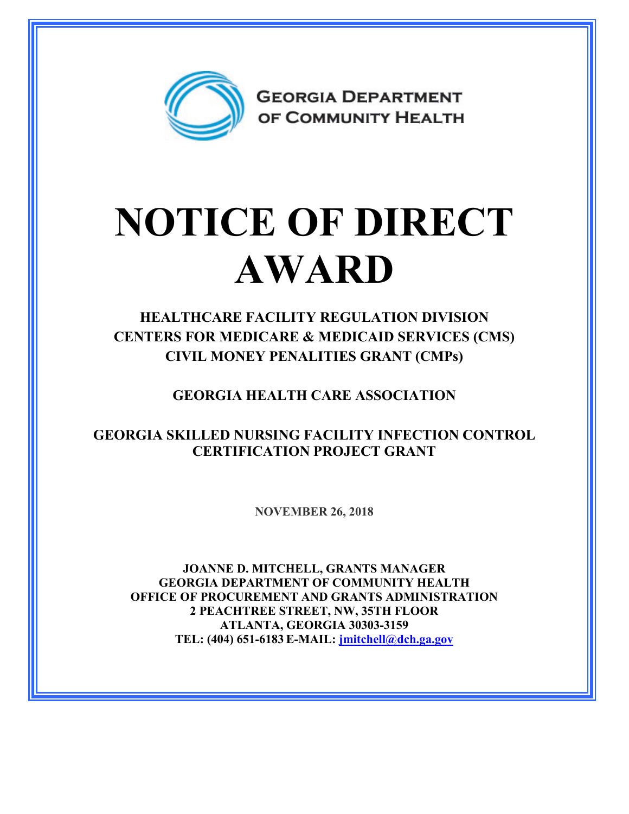

## **NOTICE OF DIRECT AWARD**

## **HEALTHCARE FACILITY REGULATION DIVISION CENTERS FOR MEDICARE & MEDICAID SERVICES (CMS) CIVIL MONEY PENALITIES GRANT (CMPs)**

**GEORGIA HEALTH CARE ASSOCIATION**

**GEORGIA SKILLED NURSING FACILITY INFECTION CONTROL CERTIFICATION PROJECT GRANT**

**NOVEMBER 26, 2018**

**JOANNE D. MITCHELL, GRANTS MANAGER GEORGIA DEPARTMENT OF COMMUNITY HEALTH OFFICE OF PROCUREMENT AND GRANTS ADMINISTRATION 2 PEACHTREE STREET, NW, 35TH FLOOR ATLANTA, GEORGIA 30303-3159 TEL: (404) 651-6183 E-MAIL: [jmitchell@dch.ga.gov](mailto:awatson@dch.ga.gov)**